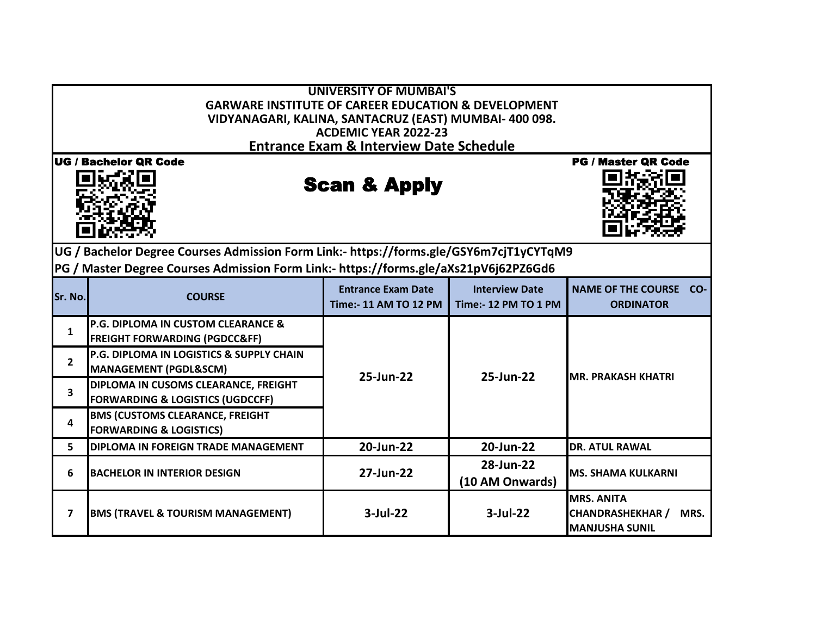| <b>UNIVERSITY OF MUMBAI'S</b>                                                          |                                                            |                           |                       |                                    |  |  |  |
|----------------------------------------------------------------------------------------|------------------------------------------------------------|---------------------------|-----------------------|------------------------------------|--|--|--|
| <b>GARWARE INSTITUTE OF CAREER EDUCATION &amp; DEVELOPMENT</b>                         |                                                            |                           |                       |                                    |  |  |  |
| VIDYANAGARI, KALINA, SANTACRUZ (EAST) MUMBAI- 400 098.                                 |                                                            |                           |                       |                                    |  |  |  |
| <b>ACDEMIC YEAR 2022-23</b>                                                            |                                                            |                           |                       |                                    |  |  |  |
| <b>Entrance Exam &amp; Interview Date Schedule</b>                                     |                                                            |                           |                       |                                    |  |  |  |
|                                                                                        | <b>UG / Bachelor QR Code</b><br><b>PG / Master QR Code</b> |                           |                       |                                    |  |  |  |
| <b>Scan &amp; Apply</b>                                                                |                                                            |                           |                       |                                    |  |  |  |
|                                                                                        |                                                            |                           |                       |                                    |  |  |  |
|                                                                                        |                                                            |                           |                       |                                    |  |  |  |
|                                                                                        |                                                            |                           |                       |                                    |  |  |  |
| UG / Bachelor Degree Courses Admission Form Link:- https://forms.gle/GSY6m7cjT1yCYTqM9 |                                                            |                           |                       |                                    |  |  |  |
| PG / Master Degree Courses Admission Form Link:- https://forms.gle/aXs21pV6j62PZ6Gd6   |                                                            |                           |                       |                                    |  |  |  |
|                                                                                        |                                                            |                           |                       |                                    |  |  |  |
| Sr. No.                                                                                | <b>COURSE</b>                                              | <b>Entrance Exam Date</b> | <b>Interview Date</b> | <b>NAME OF THE COURSE</b><br>$CO-$ |  |  |  |
|                                                                                        |                                                            | Time:- 11 AM TO 12 PM     | Time:- 12 PM TO 1 PM  | <b>ORDINATOR</b>                   |  |  |  |
| $\mathbf{1}$                                                                           | P.G. DIPLOMA IN CUSTOM CLEARANCE &                         | 25-Jun-22                 | 25-Jun-22             | <b>IMR. PRAKASH KHATRI</b>         |  |  |  |
|                                                                                        | <b>FREIGHT FORWARDING (PGDCC&amp;FF)</b>                   |                           |                       |                                    |  |  |  |
| $\overline{2}$                                                                         | <b>IP.G. DIPLOMA IN LOGISTICS &amp; SUPPLY CHAIN</b>       |                           |                       |                                    |  |  |  |
|                                                                                        | <b>MANAGEMENT (PGDL&amp;SCM)</b>                           |                           |                       |                                    |  |  |  |
| 3                                                                                      | <b>DIPLOMA IN CUSOMS CLEARANCE, FREIGHT</b>                |                           |                       |                                    |  |  |  |
|                                                                                        | <b>FORWARDING &amp; LOGISTICS (UGDCCFF)</b>                |                           |                       |                                    |  |  |  |
| 4                                                                                      | <b>BMS (CUSTOMS CLEARANCE, FREIGHT</b>                     |                           |                       |                                    |  |  |  |
|                                                                                        | <b>FORWARDING &amp; LOGISTICS)</b>                         |                           |                       |                                    |  |  |  |
| 5.                                                                                     | <b>DIPLOMA IN FOREIGN TRADE MANAGEMENT</b>                 | 20-Jun-22                 | 20-Jun-22             | <b>DR. ATUL RAWAL</b>              |  |  |  |
| 6                                                                                      | <b>BACHELOR IN INTERIOR DESIGN</b>                         | 27-Jun-22                 | 28-Jun-22             | <b>MS. SHAMA KULKARNI</b>          |  |  |  |
|                                                                                        |                                                            |                           | (10 AM Onwards)       |                                    |  |  |  |
| 7                                                                                      | <b>BMS (TRAVEL &amp; TOURISM MANAGEMENT)</b>               | $3$ -Jul-22               | $3$ -Jul-22           | <b>MRS. ANITA</b>                  |  |  |  |
|                                                                                        |                                                            |                           |                       | <b>CHANDRASHEKHAR /</b><br>MRS.    |  |  |  |
|                                                                                        |                                                            |                           |                       | <b>MANJUSHA SUNIL</b>              |  |  |  |
|                                                                                        |                                                            |                           |                       |                                    |  |  |  |